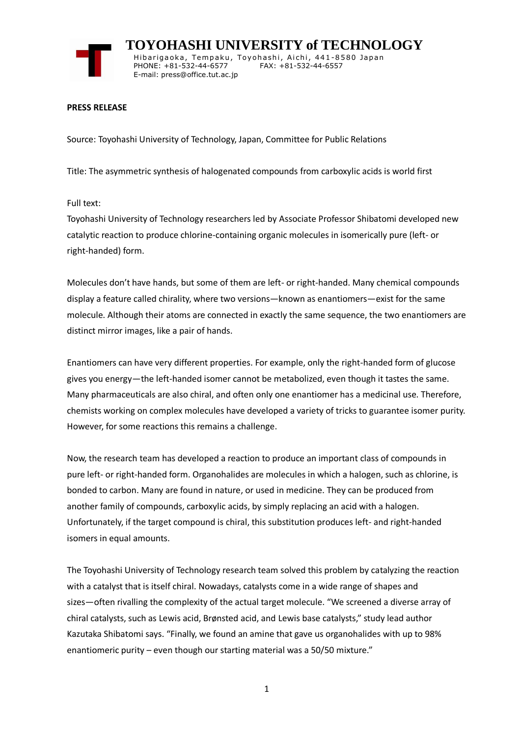

 **TOYOHASHI UNIVERSITY of TECHNOLOGY** Hibarigaoka, Tempaku, Toyohashi, Aichi, 441-8580 Japan PHONE: +81-532-44-6577 FAX: +81-532-44-6557 E-mail: press@office.tut.ac.jp

## **PRESS RELEASE**

Source: Toyohashi University of Technology, Japan, Committee for Public Relations

Title: The asymmetric synthesis of halogenated compounds from carboxylic acids is world first

Full text:

Toyohashi University of Technology researchers led by Associate Professor Shibatomi developed new catalytic reaction to produce chlorine-containing organic molecules in isomerically pure (left- or right-handed) form.

Molecules don't have hands, but some of them are left- or right-handed. Many chemical compounds display a feature called chirality, where two versions—known as enantiomers—exist for the same molecule. Although their atoms are connected in exactly the same sequence, the two enantiomers are distinct mirror images, like a pair of hands.

Enantiomers can have very different properties. For example, only the right-handed form of glucose gives you energy—the left-handed isomer cannot be metabolized, even though it tastes the same. Many pharmaceuticals are also chiral, and often only one enantiomer has a medicinal use. Therefore, chemists working on complex molecules have developed a variety of tricks to guarantee isomer purity. However, for some reactions this remains a challenge.

Now, the research team has developed a reaction to produce an important class of compounds in pure left- or right-handed form. Organohalides are molecules in which a halogen, such as chlorine, is bonded to carbon. Many are found in nature, or used in medicine. They can be produced from another family of compounds, carboxylic acids, by simply replacing an acid with a halogen. Unfortunately, if the target compound is chiral, this substitution produces left- and right-handed isomers in equal amounts.

The Toyohashi University of Technology research team solved this problem by catalyzing the reaction with a catalyst that is itself chiral. Nowadays, catalysts come in a wide range of shapes and sizes—often rivalling the complexity of the actual target molecule. "We screened a diverse array of chiral catalysts, such as Lewis acid, Brønsted acid, and Lewis base catalysts," study lead author Kazutaka Shibatomi says. "Finally, we found an amine that gave us organohalides with up to 98% enantiomeric purity – even though our starting material was a 50/50 mixture."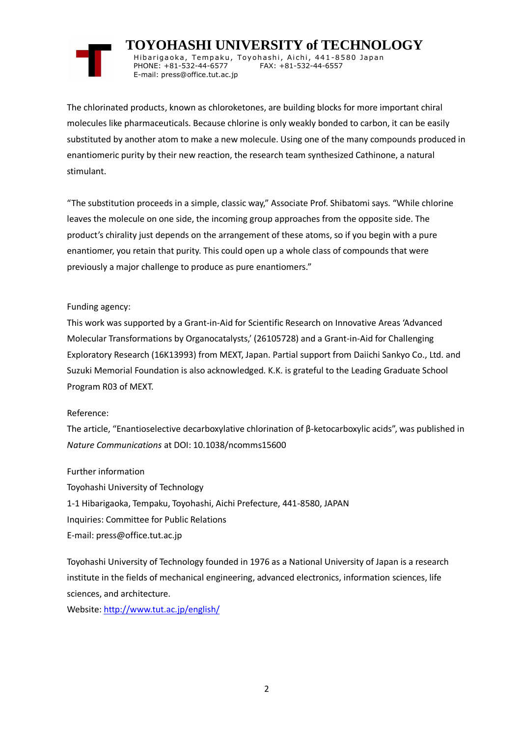## **TOYOHASHI UNIVERSITY of TECHNOLOGY**

Hibarigaoka, Tempaku, Toyohashi, Aichi, 441-8580 Japan PHONE: +81-532-44-6577 FAX: +81-532-44-6557 E-mail: press@office.tut.ac.jp

The chlorinated products, known as chloroketones, are building blocks for more important chiral molecules like pharmaceuticals. Because chlorine is only weakly bonded to carbon, it can be easily substituted by another atom to make a new molecule. Using one of the many compounds produced in enantiomeric purity by their new reaction, the research team synthesized Cathinone, a natural stimulant.

"The substitution proceeds in a simple, classic way," Associate Prof. Shibatomi says. "While chlorine leaves the molecule on one side, the incoming group approaches from the opposite side. The product's chirality just depends on the arrangement of these atoms, so if you begin with a pure enantiomer, you retain that purity. This could open up a whole class of compounds that were previously a major challenge to produce as pure enantiomers."

## Funding agency:

This work was supported by a Grant-in-Aid for Scientific Research on Innovative Areas 'Advanced Molecular Transformations by Organocatalysts,' (26105728) and a Grant-in-Aid for Challenging Exploratory Research (16K13993) from MEXT, Japan. Partial support from Daiichi Sankyo Co., Ltd. and Suzuki Memorial Foundation is also acknowledged. K.K. is grateful to the Leading Graduate School Program R03 of MEXT.

## Reference:

The article, "Enantioselective decarboxylative chlorination of β-ketocarboxylic acids", was published in *Nature Communications* at DOI: 10.1038/ncomms15600

Further information Toyohashi University of Technology 1-1 Hibarigaoka, Tempaku, Toyohashi, Aichi Prefecture, 441-8580, JAPAN Inquiries: Committee for Public Relations E-mail: press@office.tut.ac.jp

Toyohashi University of Technology founded in 1976 as a National University of Japan is a research institute in the fields of mechanical engineering, advanced electronics, information sciences, life sciences, and architecture.

Website[: http://www.tut.ac.jp/english/](http://www.tut.ac.jp/english/)